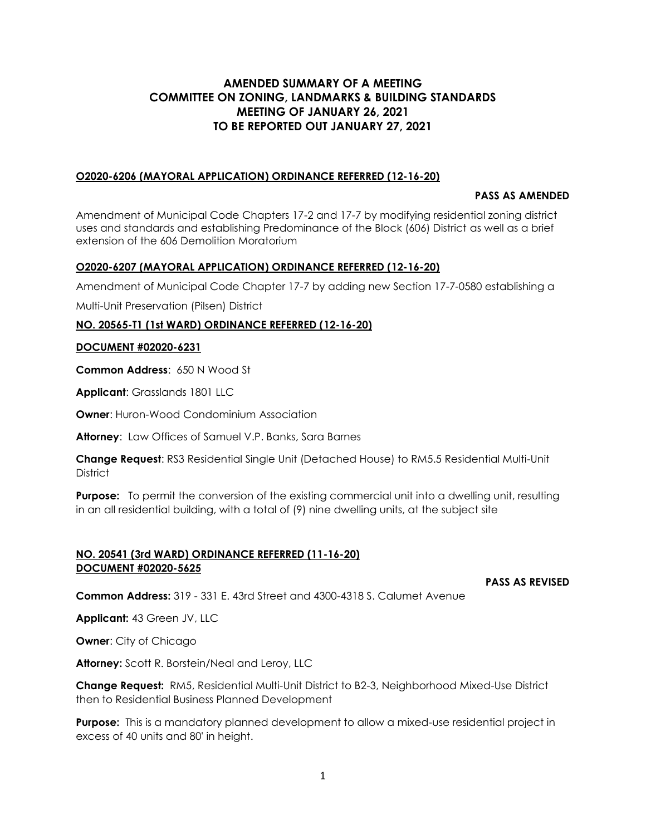# **AMENDED SUMMARY OF A MEETING COMMITTEE ON ZONING, LANDMARKS & BUILDING STANDARDS MEETING OF JANUARY 26, 2021 TO BE REPORTED OUT JANUARY 27, 2021**

#### **O2020-6206 (MAYORAL APPLICATION) ORDINANCE REFERRED (12-16-20)**

#### **PASS AS AMENDED**

Amendment of Municipal Code Chapters 17-2 and 17-7 by modifying residential zoning district uses and standards and establishing Predominance of the Block (606) District as well as a brief extension of the 606 Demolition Moratorium

#### **O2020-6207 (MAYORAL APPLICATION) ORDINANCE REFERRED (12-16-20)**

Amendment of Municipal Code Chapter 17-7 by adding new Section 17-7-0580 establishing a

Multi-Unit Preservation (Pilsen) District

## **NO. 20565-T1 (1st WARD) ORDINANCE REFERRED (12-16-20)**

#### **DOCUMENT #02020-6231**

**Common Address**: 650 N Wood St

**Applicant**: Grasslands 1801 LLC

**Owner:** Huron-Wood Condominium Association

**Attorney**: Law Offices of Samuel V.P. Banks, Sara Barnes

**Change Request**: RS3 Residential Single Unit (Detached House) to RM5.5 Residential Multi-Unit **District** 

**Purpose:** To permit the conversion of the existing commercial unit into a dwelling unit, resulting in an all residential building, with a total of (9) nine dwelling units, at the subject site

#### **NO. 20541 (3rd WARD) ORDINANCE REFERRED (11-16-20) DOCUMENT #02020-5625**

**PASS AS REVISED**

**Common Address:** 319 - 331 E. 43rd Street and 4300-4318 S. Calumet Avenue

**Applicant:** 43 Green JV, LLC

**Owner**: City of Chicago

**Attorney:** Scott R. Borstein/Neal and Leroy, LLC

**Change Request:** RM5, Residential Multi-Unit District to B2-3, Neighborhood Mixed-Use District then to Residential Business Planned Development

**Purpose:** This is a mandatory planned development to allow a mixed-use residential project in excess of 40 units and 80' in height.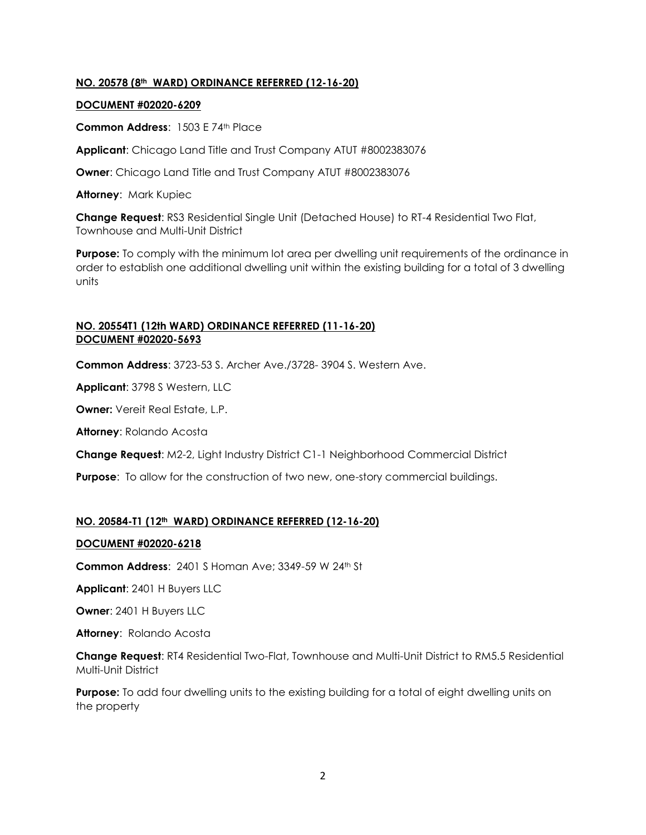## **NO. 20578 (8th WARD) ORDINANCE REFERRED (12-16-20)**

#### **DOCUMENT #02020-6209**

**Common Address**: 1503 E 74th Place

**Applicant**: Chicago Land Title and Trust Company ATUT #8002383076

**Owner**: Chicago Land Title and Trust Company ATUT #8002383076

**Attorney**: Mark Kupiec

**Change Request**: RS3 Residential Single Unit (Detached House) to RT-4 Residential Two Flat, Townhouse and Multi-Unit District

**Purpose:** To comply with the minimum lot area per dwelling unit requirements of the ordinance in order to establish one additional dwelling unit within the existing building for a total of 3 dwelling units

## **NO. 20554T1 (12th WARD) ORDINANCE REFERRED (11-16-20) DOCUMENT #02020-5693**

**Common Address**: 3723-53 S. Archer Ave./3728- 3904 S. Western Ave.

**Applicant**: 3798 S Western, LLC

**Owner:** Vereit Real Estate, L.P.

**Attorney**: Rolando Acosta

**Change Request**: M2-2, Light Industry District C1-1 Neighborhood Commercial District

**Purpose**: To allow for the construction of two new, one-story commercial buildings.

## **NO. 20584-T1 (12th WARD) ORDINANCE REFERRED (12-16-20)**

## **DOCUMENT #02020-6218**

**Common Address**: 2401 S Homan Ave; 3349-59 W 24th St

**Applicant**: 2401 H Buyers LLC

**Owner**: 2401 H Buyers LLC

**Attorney**: Rolando Acosta

**Change Request**: RT4 Residential Two-Flat, Townhouse and Multi-Unit District to RM5.5 Residential Multi-Unit District

**Purpose:** To add four dwelling units to the existing building for a total of eight dwelling units on the property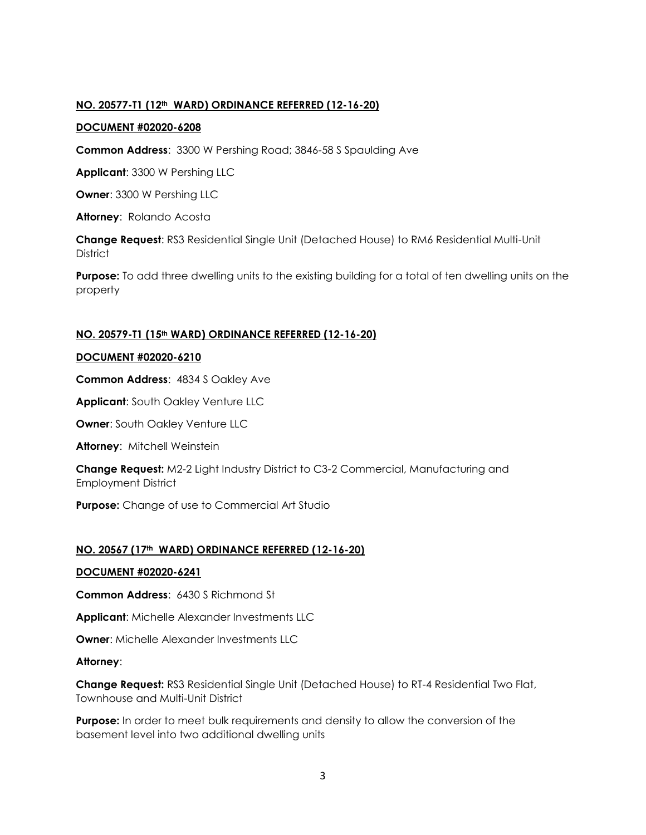## **NO. 20577-T1 (12th WARD) ORDINANCE REFERRED (12-16-20)**

## **DOCUMENT #02020-6208**

**Common Address**: 3300 W Pershing Road; 3846-58 S Spaulding Ave

**Applicant**: 3300 W Pershing LLC

**Owner**: 3300 W Pershing LLC

**Attorney**: Rolando Acosta

**Change Request**: RS3 Residential Single Unit (Detached House) to RM6 Residential Multi-Unit **District** 

**Purpose:** To add three dwelling units to the existing building for a total of ten dwelling units on the property

## **NO. 20579-T1 (15th WARD) ORDINANCE REFERRED (12-16-20)**

## **DOCUMENT #02020-6210**

**Common Address**: 4834 S Oakley Ave

**Applicant**: South Oakley Venture LLC

**Owner: South Oakley Venture LLC** 

**Attorney**: Mitchell Weinstein

**Change Request:** M2-2 Light Industry District to C3-2 Commercial, Manufacturing and Employment District

**Purpose:** Change of use to Commercial Art Studio

## **NO. 20567 (17th WARD) ORDINANCE REFERRED (12-16-20)**

## **DOCUMENT #02020-6241**

**Common Address**: 6430 S Richmond St

**Applicant**: Michelle Alexander Investments LLC

**Owner**: Michelle Alexander Investments LLC

## **Attorney**:

**Change Request:** RS3 Residential Single Unit (Detached House) to RT-4 Residential Two Flat, Townhouse and Multi-Unit District

**Purpose:** In order to meet bulk requirements and density to allow the conversion of the basement level into two additional dwelling units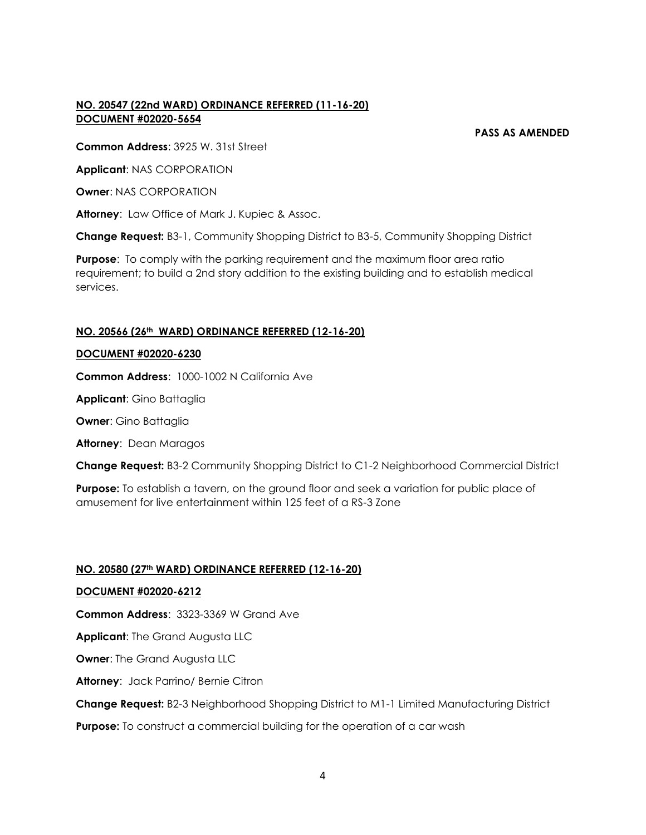# **NO. 20547 (22nd WARD) ORDINANCE REFERRED (11-16-20) DOCUMENT #02020-5654**

#### **PASS AS AMENDED**

**Common Address**: 3925 W. 31st Street

**Applicant**: NAS CORPORATION

**Owner**: NAS CORPORATION

**Attorney**: Law Office of Mark J. Kupiec & Assoc.

**Change Request:** B3-1, Community Shopping District to B3-5, Community Shopping District

**Purpose**: To comply with the parking requirement and the maximum floor area ratio requirement; to build a 2nd story addition to the existing building and to establish medical services.

# **NO. 20566 (26th WARD) ORDINANCE REFERRED (12-16-20)**

## **DOCUMENT #02020-6230**

**Common Address**: 1000-1002 N California Ave

**Applicant**: Gino Battaglia

**Owner**: Gino Battaglia

**Attorney**: Dean Maragos

**Change Request:** B3-2 Community Shopping District to C1-2 Neighborhood Commercial District

**Purpose:** To establish a tavern, on the ground floor and seek a variation for public place of amusement for live entertainment within 125 feet of a RS-3 Zone

## **NO. 20580 (27th WARD) ORDINANCE REFERRED (12-16-20)**

## **DOCUMENT #02020-6212**

**Common Address**: 3323-3369 W Grand Ave

**Applicant**: The Grand Augusta LLC

**Owner:** The Grand Augusta LLC

**Attorney**: Jack Parrino/ Bernie Citron

**Change Request:** B2-3 Neighborhood Shopping District to M1-1 Limited Manufacturing District

**Purpose:** To construct a commercial building for the operation of a car wash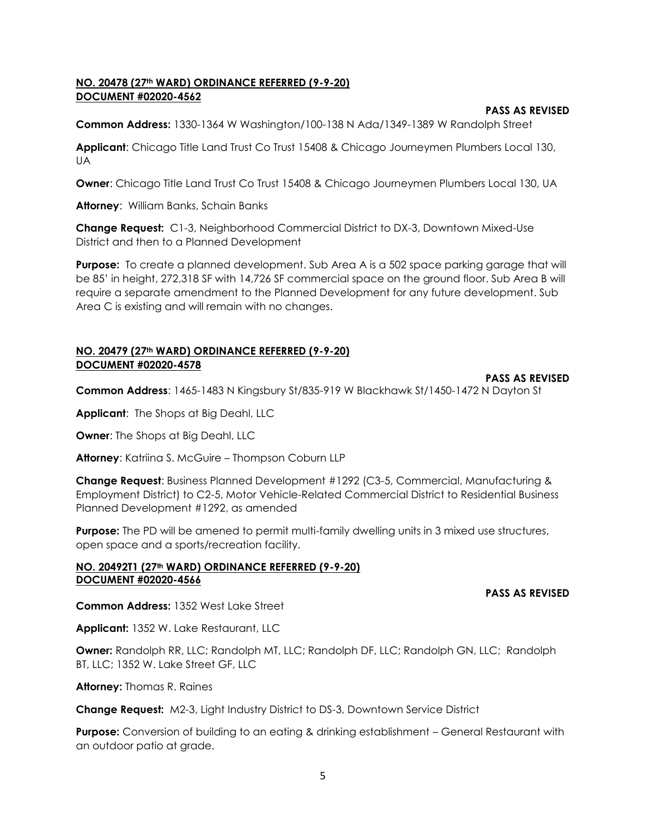## **NO. 20478 (27th WARD) ORDINANCE REFERRED (9-9-20) DOCUMENT #02020-4562**

#### **PASS AS REVISED**

**Common Address:** 1330-1364 W Washington/100-138 N Ada/1349-1389 W Randolph Street

**Applicant**: Chicago Title Land Trust Co Trust 15408 & Chicago Journeymen Plumbers Local 130, UA

**Owner**: Chicago Title Land Trust Co Trust 15408 & Chicago Journeymen Plumbers Local 130, UA

**Attorney**: William Banks, Schain Banks

**Change Request:** C1-3, Neighborhood Commercial District to DX-3, Downtown Mixed-Use District and then to a Planned Development

**Purpose:** To create a planned development. Sub Area A is a 502 space parking garage that will be 85' in height, 272,318 SF with 14,726 SF commercial space on the ground floor. Sub Area B will require a separate amendment to the Planned Development for any future development. Sub Area C is existing and will remain with no changes.

# **NO. 20479 (27th WARD) ORDINANCE REFERRED (9-9-20) DOCUMENT #02020-4578**

#### **PASS AS REVISED**

**Common Address**: 1465-1483 N Kingsbury St/835-919 W Blackhawk St/1450-1472 N Dayton St

**Applicant**: The Shops at Big Deahl, LLC

**Owner**: The Shops at Big Deahl, LLC

**Attorney**: Katriina S. McGuire – Thompson Coburn LLP

**Change Request**: Business Planned Development #1292 (C3-5, Commercial, Manufacturing & Employment District) to C2-5, Motor Vehicle-Related Commercial District to Residential Business Planned Development #1292, as amended

**Purpose:** The PD will be amened to permit multi-family dwelling units in 3 mixed use structures, open space and a sports/recreation facility.

#### **NO. 20492T1 (27th WARD) ORDINANCE REFERRED (9-9-20) DOCUMENT #02020-4566**

#### **PASS AS REVISED**

**Common Address:** 1352 West Lake Street

**Applicant:** 1352 W. Lake Restaurant, LLC

**Owner:** Randolph RR, LLC; Randolph MT, LLC; Randolph DF, LLC; Randolph GN, LLC; Randolph BT, LLC; 1352 W. Lake Street GF, LLC

**Attorney:** Thomas R. Raines

**Change Request:** M2-3, Light Industry District to DS-3, Downtown Service District

**Purpose:** Conversion of building to an eating & drinking establishment – General Restaurant with an outdoor patio at grade.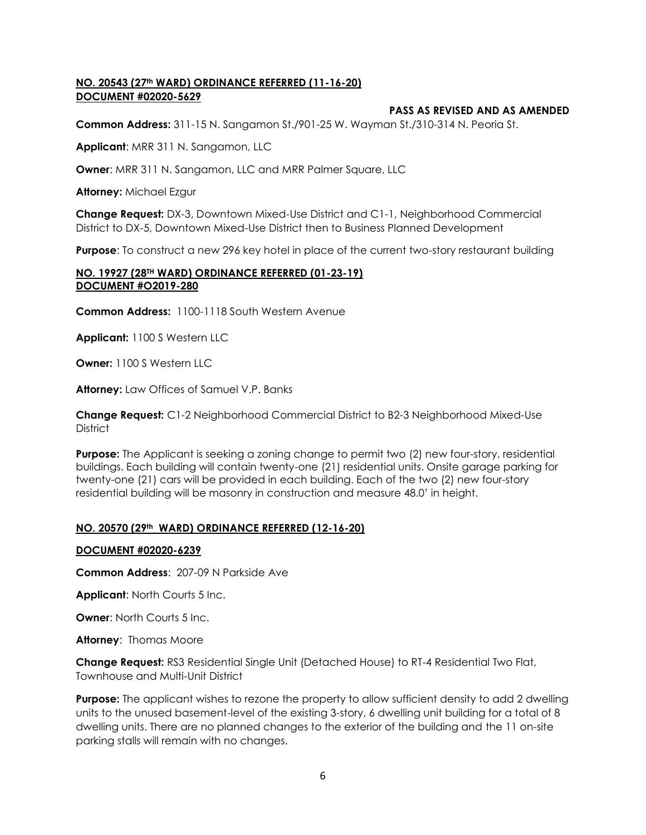## **NO. 20543 (27th WARD) ORDINANCE REFERRED (11-16-20) DOCUMENT #02020-5629**

## **PASS AS REVISED AND AS AMENDED**

**Common Address:** 311-15 N. Sangamon St./901-25 W. Wayman St./310-314 N. Peoria St.

**Applicant**: MRR 311 N. Sangamon, LLC

**Owner**: MRR 311 N. Sangamon, LLC and MRR Palmer Square, LLC

**Attorney:** Michael Ezgur

**Change Request:** DX-3, Downtown Mixed-Use District and C1-1, Neighborhood Commercial District to DX-5, Downtown Mixed-Use District then to Business Planned Development

**Purpose**: To construct a new 296 key hotel in place of the current two-story restaurant building

#### **NO. 19927 (28TH WARD) ORDINANCE REFERRED (01-23-19) DOCUMENT #O2019-280**

**Common Address:** 1100-1118 South Western Avenue

**Applicant:** 1100 S Western LLC

**Owner:** 1100 S Western LLC

**Attorney:** Law Offices of Samuel V.P. Banks

**Change Request:** C1-2 Neighborhood Commercial District to B2-3 Neighborhood Mixed-Use **District** 

**Purpose:** The Applicant is seeking a zoning change to permit two (2) new four-story, residential buildings. Each building will contain twenty-one (21) residential units. Onsite garage parking for twenty-one (21) cars will be provided in each building. Each of the two (2) new four-story residential building will be masonry in construction and measure 48.0' in height.

## **NO. 20570 (29th WARD) ORDINANCE REFERRED (12-16-20)**

#### **DOCUMENT #02020-6239**

**Common Address**: 207-09 N Parkside Ave

**Applicant**: North Courts 5 Inc.

**Owner: North Courts 5 Inc.** 

**Attorney**: Thomas Moore

**Change Request:** RS3 Residential Single Unit (Detached House) to RT-4 Residential Two Flat, Townhouse and Multi-Unit District

**Purpose:** The applicant wishes to rezone the property to allow sufficient density to add 2 dwelling units to the unused basement-level of the existing 3-story, 6 dwelling unit building for a total of 8 dwelling units. There are no planned changes to the exterior of the building and the 11 on-site parking stalls will remain with no changes.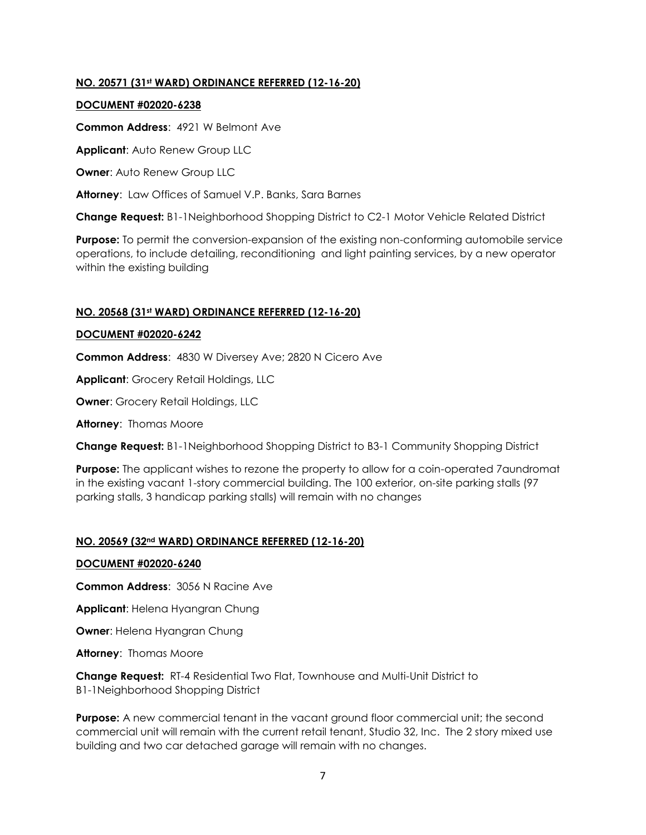## **NO. 20571 (31st WARD) ORDINANCE REFERRED (12-16-20)**

#### **DOCUMENT #02020-6238**

**Common Address**: 4921 W Belmont Ave

**Applicant**: Auto Renew Group LLC

**Owner**: Auto Renew Group LLC

**Attorney**: Law Offices of Samuel V.P. Banks, Sara Barnes

**Change Request:** B1-1Neighborhood Shopping District to C2-1 Motor Vehicle Related District

**Purpose:** To permit the conversion-expansion of the existing non-conforming automobile service operations, to include detailing, reconditioning and light painting services, by a new operator within the existing building

## **NO. 20568 (31st WARD) ORDINANCE REFERRED (12-16-20)**

## **DOCUMENT #02020-6242**

**Common Address**: 4830 W Diversey Ave; 2820 N Cicero Ave

**Applicant**: Grocery Retail Holdings, LLC

**Owner**: Grocery Retail Holdings, LLC

**Attorney**: Thomas Moore

**Change Request:** B1-1Neighborhood Shopping District to B3-1 Community Shopping District

**Purpose:** The applicant wishes to rezone the property to allow for a coin-operated 7aundromat in the existing vacant 1-story commercial building. The 100 exterior, on-site parking stalls (97 parking stalls, 3 handicap parking stalls) will remain with no changes

## **NO. 20569 (32nd WARD) ORDINANCE REFERRED (12-16-20)**

## **DOCUMENT #02020-6240**

**Common Address**: 3056 N Racine Ave

**Applicant**: Helena Hyangran Chung

**Owner**: Helena Hyangran Chung

**Attorney**: Thomas Moore

**Change Request:** RT-4 Residential Two Flat, Townhouse and Multi-Unit District to B1-1Neighborhood Shopping District

**Purpose:** A new commercial tenant in the vacant ground floor commercial unit; the second commercial unit will remain with the current retail tenant, Studio 32, Inc. The 2 story mixed use building and two car detached garage will remain with no changes.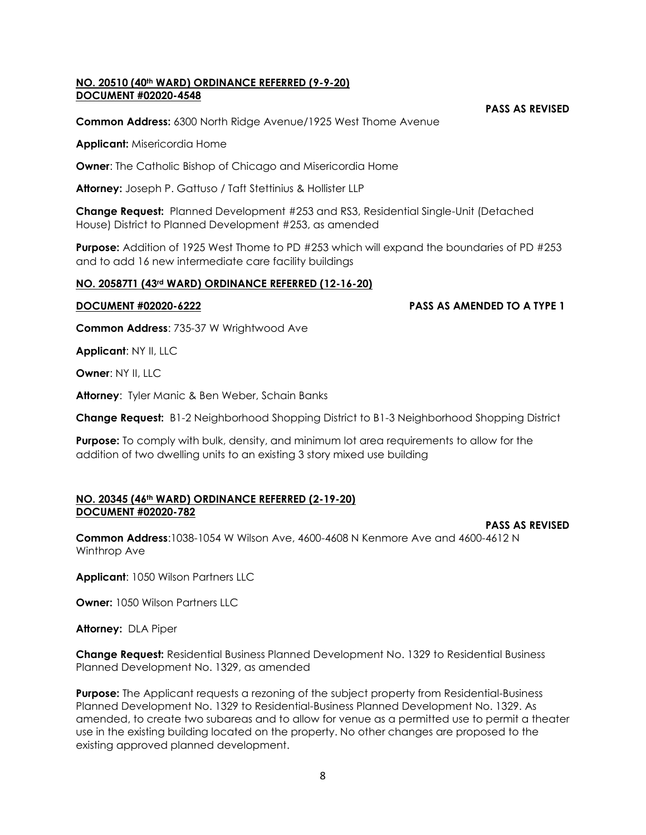#### **NO. 20510 (40th WARD) ORDINANCE REFERRED (9-9-20) DOCUMENT #02020-4548**

**PASS AS REVISED**

**PASS AS REVISED**

**Common Address:** 6300 North Ridge Avenue/1925 West Thome Avenue

**Applicant:** Misericordia Home

**Owner:** The Catholic Bishop of Chicago and Misericordia Home

**Attorney:** Joseph P. Gattuso / Taft Stettinius & Hollister LLP

**Change Request:** Planned Development #253 and RS3, Residential Single-Unit (Detached House) District to Planned Development #253, as amended

**Purpose:** Addition of 1925 West Thome to PD #253 which will expand the boundaries of PD #253 and to add 16 new intermediate care facility buildings

#### **NO. 20587T1 (43rd WARD) ORDINANCE REFERRED (12-16-20)**

**DOCUMENT #02020-6222 PASS AS AMENDED TO A TYPE 1**

**Common Address**: 735-37 W Wrightwood Ave

**Applicant**: NY II, LLC

**Owner: NY II, LLC** 

**Attorney**: Tyler Manic & Ben Weber, Schain Banks

**Change Request:** B1-2 Neighborhood Shopping District to B1-3 Neighborhood Shopping District

**Purpose:** To comply with bulk, density, and minimum lot area requirements to allow for the addition of two dwelling units to an existing 3 story mixed use building

#### **NO. 20345 (46th WARD) ORDINANCE REFERRED (2-19-20) DOCUMENT #02020-782**

**Common Address**:1038-1054 W Wilson Ave, 4600-4608 N Kenmore Ave and 4600-4612 N Winthrop Ave

**Applicant**: 1050 Wilson Partners LLC

**Owner:** 1050 Wilson Partners LLC

**Attorney:** DLA Piper

**Change Request:** Residential Business Planned Development No. 1329 to Residential Business Planned Development No. 1329, as amended

**Purpose:** The Applicant requests a rezoning of the subject property from Residential-Business Planned Development No. 1329 to Residential-Business Planned Development No. 1329. As amended, to create two subareas and to allow for venue as a permitted use to permit a theater use in the existing building located on the property. No other changes are proposed to the existing approved planned development.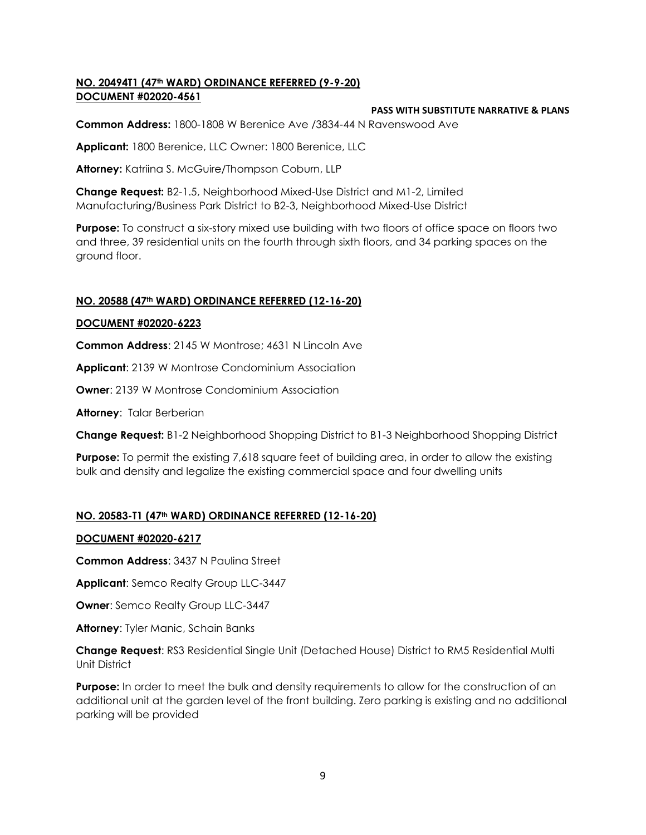## **NO. 20494T1 (47th WARD) ORDINANCE REFERRED (9-9-20) DOCUMENT #02020-4561**

## **PASS WITH SUBSTITUTE NARRATIVE & PLANS**

**Common Address:** 1800-1808 W Berenice Ave /3834-44 N Ravenswood Ave

**Applicant:** 1800 Berenice, LLC Owner: 1800 Berenice, LLC

**Attorney:** Katriina S. McGuire/Thompson Coburn, LLP

**Change Request:** B2-1.5, Neighborhood Mixed-Use District and M1-2, Limited Manufacturing/Business Park District to B2-3, Neighborhood Mixed-Use District

**Purpose:** To construct a six-story mixed use building with two floors of office space on floors two and three, 39 residential units on the fourth through sixth floors, and 34 parking spaces on the ground floor.

# **NO. 20588 (47th WARD) ORDINANCE REFERRED (12-16-20)**

## **DOCUMENT #02020-6223**

**Common Address**: 2145 W Montrose; 4631 N Lincoln Ave

**Applicant:** 2139 W Montrose Condominium Association

**Owner:** 2139 W Montrose Condominium Association

**Attorney**: Talar Berberian

**Change Request:** B1-2 Neighborhood Shopping District to B1-3 Neighborhood Shopping District

**Purpose:** To permit the existing 7,618 square feet of building area, in order to allow the existing bulk and density and legalize the existing commercial space and four dwelling units

# **NO. 20583-T1 (47th WARD) ORDINANCE REFERRED (12-16-20)**

## **DOCUMENT #02020-6217**

**Common Address**: 3437 N Paulina Street

**Applicant**: Semco Realty Group LLC-3447

**Owner**: Semco Realty Group LLC-3447

**Attorney**: Tyler Manic, Schain Banks

**Change Request**: RS3 Residential Single Unit (Detached House) District to RM5 Residential Multi Unit District

**Purpose:** In order to meet the bulk and density requirements to allow for the construction of an additional unit at the garden level of the front building. Zero parking is existing and no additional parking will be provided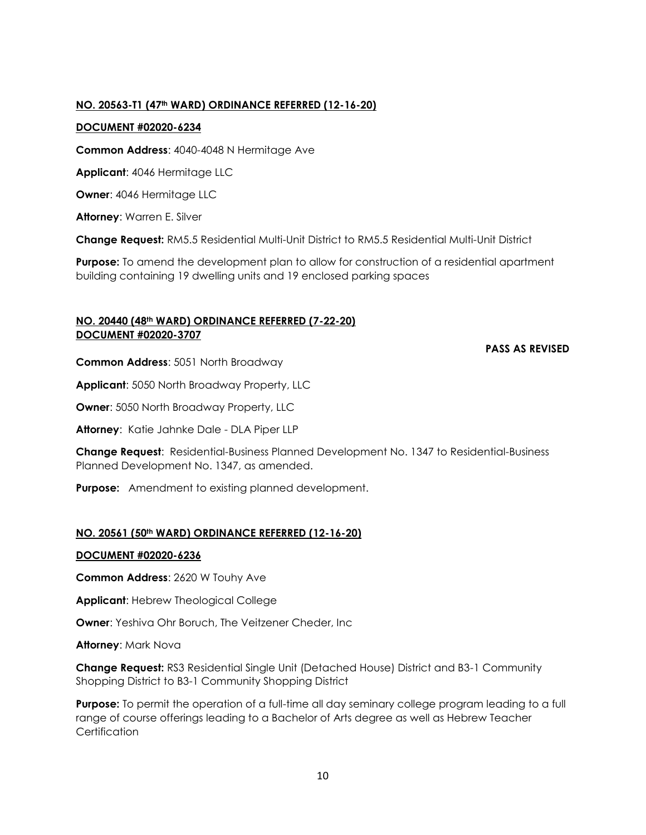## **NO. 20563-T1 (47th WARD) ORDINANCE REFERRED (12-16-20)**

# **DOCUMENT #02020-6234**

**Common Address**: 4040-4048 N Hermitage Ave

**Applicant**: 4046 Hermitage LLC

**Owner**: 4046 Hermitage LLC

**Attorney**: Warren E. Silver

**Change Request:** RM5.5 Residential Multi-Unit District to RM5.5 Residential Multi-Unit District

**Purpose:** To amend the development plan to allow for construction of a residential apartment building containing 19 dwelling units and 19 enclosed parking spaces

## **NO. 20440 (48th WARD) ORDINANCE REFERRED (7-22-20) DOCUMENT #02020-3707**

## **PASS AS REVISED**

**Common Address**: 5051 North Broadway

**Applicant**: 5050 North Broadway Property, LLC

**Owner**: 5050 North Broadway Property, LLC

**Attorney**: Katie Jahnke Dale - DLA Piper LLP

**Change Request**: Residential-Business Planned Development No. 1347 to Residential-Business Planned Development No. 1347, as amended.

**Purpose:** Amendment to existing planned development.

# **NO. 20561 (50th WARD) ORDINANCE REFERRED (12-16-20)**

## **DOCUMENT #02020-6236**

**Common Address**: 2620 W Touhy Ave

**Applicant**: Hebrew Theological College

**Owner**: Yeshiva Ohr Boruch, The Veitzener Cheder, Inc

**Attorney**: Mark Nova

**Change Request:** RS3 Residential Single Unit (Detached House) District and B3-1 Community Shopping District to B3-1 Community Shopping District

**Purpose:** To permit the operation of a full-time all day seminary college program leading to a full range of course offerings leading to a Bachelor of Arts degree as well as Hebrew Teacher **Certification**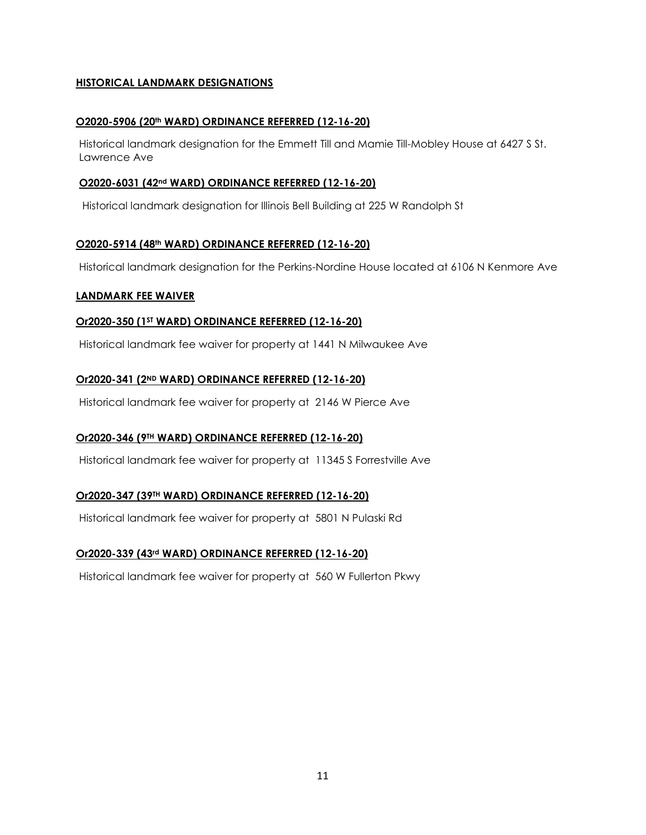# **HISTORICAL LANDMARK DESIGNATIONS**

## **O2020-5906 (20th WARD) ORDINANCE REFERRED (12-16-20)**

Historical landmark designation for the Emmett Till and Mamie Till-Mobley House at 6427 S St. Lawrence Ave

## **O2020-6031 (42nd WARD) ORDINANCE REFERRED (12-16-20)**

Historical landmark designation for Illinois Bell Building at 225 W Randolph St

## **O2020-5914 (48th WARD) ORDINANCE REFERRED (12-16-20)**

Historical landmark designation for the Perkins-Nordine House located at 6106 N Kenmore Ave

## **LANDMARK FEE WAIVER**

## **Or2020-350 (1ST WARD) ORDINANCE REFERRED (12-16-20)**

Historical landmark fee waiver for property at 1441 N Milwaukee Ave

# **Or2020-341 (2ND WARD) ORDINANCE REFERRED (12-16-20)**

Historical landmark fee waiver for property at 2146 W Pierce Ave

# **Or2020-346 (9TH WARD) ORDINANCE REFERRED (12-16-20)**

Historical landmark fee waiver for property at 11345 S Forrestville Ave

# **Or2020-347 (39TH WARD) ORDINANCE REFERRED (12-16-20)**

Historical landmark fee waiver for property at 5801 N Pulaski Rd

# **Or2020-339 (43rd WARD) ORDINANCE REFERRED (12-16-20)**

Historical landmark fee waiver for property at 560 W Fullerton Pkwy